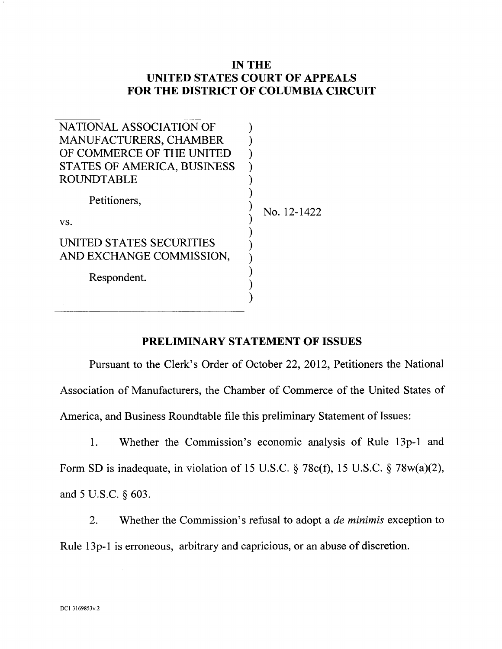## **IN THE UNITED STATES COURT OF APPEALS FOR THE DISTRICT OF COLUMBIA CIRCUIT**

| NATIONAL ASSOCIATION OF                              |             |
|------------------------------------------------------|-------------|
| <b>MANUFACTURERS, CHAMBER</b>                        |             |
| OF COMMERCE OF THE UNITED                            |             |
| STATES OF AMERICA, BUSINESS                          |             |
| <b>ROUNDTABLE</b>                                    |             |
| Petitioners,                                         | No. 12-1422 |
| VS.                                                  |             |
| UNITED STATES SECURITIES<br>AND EXCHANGE COMMISSION, |             |
| Respondent.                                          |             |
|                                                      |             |
|                                                      |             |

## **PRELIMINARY STATEMENT OF ISSUES**

Pursuant to the Clerk's Order of October 22, 2012, Petitioners the National Association of Manufacturers, the Chamber of Commerce of the United States of America, and Business Roundtable file this preliminary Statement of Issues:

1. Whether the Commission's economic analysis of Rule 13p-1 and

Form SD is inadequate, in violation of 15 U.S.C. § 78c(f), 15 U.S.C. § 78w(a)(2), and 5 U.S.C. § 603.

2. Whether the Commission's refusal to adopt a *de minimis* exception to

Rule 13p-1 is erroneous, arbitrary and capricious, or an abuse of discretion.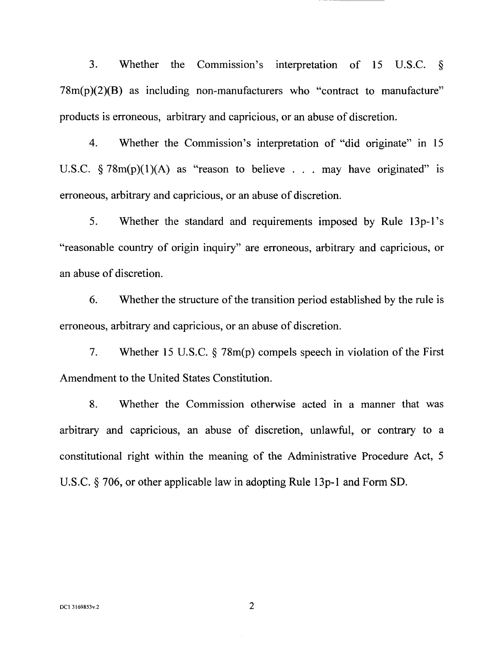3. Whether the Commission's interpretation of 15 U.S.C. §  $78m(p)(2)(B)$  as including non-manufacturers who "contract to manufacture" products is erroneous, arbitrary and capricious, or an abuse of discretion.

4. Whether the Commission's interpretation of "did originate" in 15 U.S.C.  $\S 78m(p)(1)(A)$  as "reason to believe . . . may have originated" is erroneous, arbitrary and capricious, or an abuse of discretion.

5. Whether the standard and requirements imposed by Rule 13p-1 's "reasonable country of origin inquiry" are erroneous, arbitrary and capricious, or an abuse of discretion.

6. Whether the structure of the transition period established by the rule is erroneous, arbitrary and capricious, or an abuse of discretion.

7. Whether 15 U.S.C. § 78m(p) compels speech in violation of the First Amendment to the United States Constitution.

8. Whether the Commission otherwise acted in a manner that was arbitrary and capricious, an abuse of discretion, unlawful, or contrary to a constitutional right within the meaning of the Administrative Procedure Act, 5 U.S.C. § 706, or other applicable law in adopting Rule 13p-1 and Form SD.